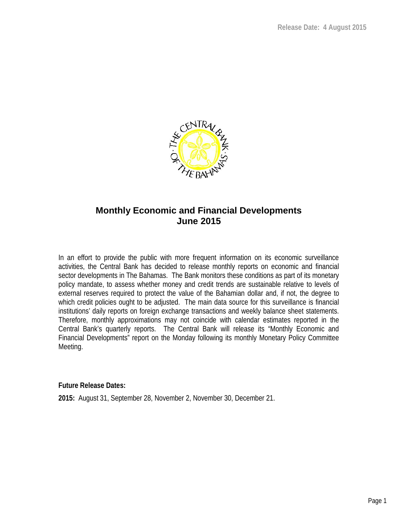

## **Monthly Economic and Financial Developments June 2015**

In an effort to provide the public with more frequent information on its economic surveillance activities, the Central Bank has decided to release monthly reports on economic and financial sector developments in The Bahamas. The Bank monitors these conditions as part of its monetary policy mandate, to assess whether money and credit trends are sustainable relative to levels of external reserves required to protect the value of the Bahamian dollar and, if not, the degree to which credit policies ought to be adjusted. The main data source for this surveillance is financial institutions' daily reports on foreign exchange transactions and weekly balance sheet statements. Therefore, monthly approximations may not coincide with calendar estimates reported in the Central Bank's quarterly reports. The Central Bank will release its "Monthly Economic and Financial Developments" report on the Monday following its monthly Monetary Policy Committee Meeting.

**Future Release Dates:**

**2015:** August 31, September 28, November 2, November 30, December 21.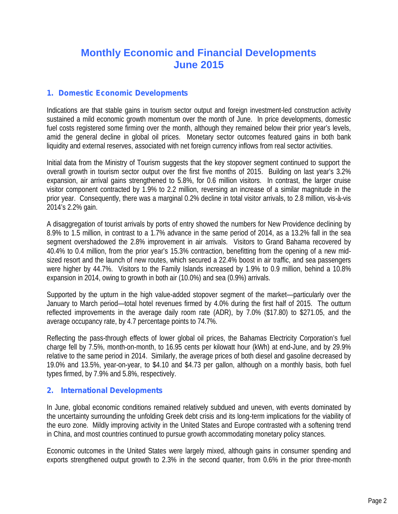## **Monthly Economic and Financial Developments June 2015**

### *1. Domestic Economic Developments*

Indications are that stable gains in tourism sector output and foreign investment-led construction activity sustained a mild economic growth momentum over the month of June. In price developments, domestic fuel costs registered some firming over the month, although they remained below their prior year's levels, amid the general decline in global oil prices. Monetary sector outcomes featured gains in both bank liquidity and external reserves, associated with net foreign currency inflows from real sector activities.

Initial data from the Ministry of Tourism suggests that the key stopover segment continued to support the overall growth in tourism sector output over the first five months of 2015. Building on last year's 3.2% expansion, air arrival gains strengthened to 5.8%, for 0.6 million visitors. In contrast, the larger cruise visitor component contracted by 1.9% to 2.2 million, reversing an increase of a similar magnitude in the prior year. Consequently, there was a marginal 0.2% decline in total visitor arrivals, to 2.8 million, vis-à-vis 2014's 2.2% gain.

A disaggregation of tourist arrivals by ports of entry showed the numbers for New Providence declining by 8.9% to 1.5 million, in contrast to a 1.7% advance in the same period of 2014, as a 13.2% fall in the sea segment overshadowed the 2.8% improvement in air arrivals. Visitors to Grand Bahama recovered by 40.4% to 0.4 million, from the prior year's 15.3% contraction, benefitting from the opening of a new mid sized resort and the launch of new routes, which secured a 22.4% boost in air traffic, and sea passengers were higher by 44.7%. Visitors to the Family Islands increased by 1.9% to 0.9 million, behind a 10.8% expansion in 2014, owing to growth in both air (10.0%) and sea (0.9%) arrivals.

Supported by the upturn in the high value-added stopover segment of the market—particularly over the January to March period—total hotel revenues firmed by 4.0% during the first half of 2015. The outturn reflected improvements in the average daily room rate (ADR), by 7.0% (\$17.80) to \$271.05, and the average occupancy rate, by 4.7 percentage points to 74.7%.

Reflecting the pass-through effects of lower global oil prices, the Bahamas Electricity Corporation's fuel charge fell by 7.5%, month-on-month, to 16.95 cents per kilowatt hour (kWh) at end-June, and by 29.9% relative to the same period in 2014. Similarly, the average prices of both diesel and gasoline decreased by 19.0% and 13.5%, year-on-year, to \$4.10 and \$4.73 per gallon, although on a monthly basis, both fuel types firmed, by 7.9% and 5.8%, respectively.

#### *2. International Developments*

In June, global economic conditions remained relatively subdued and uneven, with events dominated by the uncertainty surrounding the unfolding Greek debt crisis and its long-term implications for the viability of the euro zone. Mildly improving activity in the United States and Europe contrasted with a softening trend in China, and most countries continued to pursue growth accommodating monetary policy stances.

Economic outcomes in the United States were largely mixed, although gains in consumer spending and exports strengthened output growth to 2.3% in the second quarter, from 0.6% in the prior three-month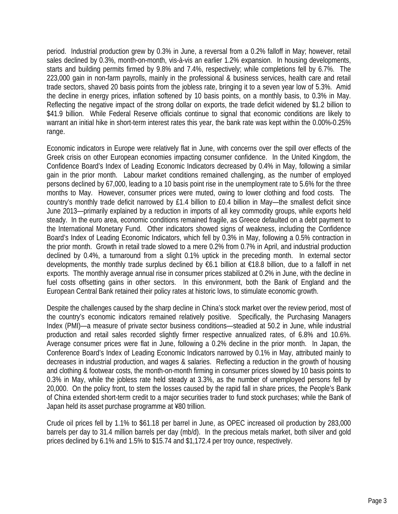period. Industrial production grew by 0.3% in June, a reversal from a 0.2% falloff in May; however, retail sales declined by 0.3%, month-on-month, vis-à-vis an earlier 1.2% expansion. In housing developments, starts and building permits firmed by 9.8% and 7.4%, respectively; while completions fell by 6.7%. The 223,000 gain in non-farm payrolls, mainly in the professional & business services, health care and retail trade sectors, shaved 20 basis points from the jobless rate, bringing it to a seven year low of 5.3%. Amid the decline in energy prices, inflation softened by 10 basis points, on a monthly basis, to 0.3% in May. Reflecting the negative impact of the strong dollar on exports, the trade deficit widened by \$1.2 billion to \$41.9 billion. While Federal Reserve officials continue to signal that economic conditions are likely to warrant an initial hike in short-term interest rates this year, the bank rate was kept within the 0.00%-0.25% range.

Economic indicators in Europe were relatively flat in June, with concerns over the spill over effects of the Greek crisis on other European economies impacting consumer confidence. In the United Kingdom, the Confidence Board's Index of Leading Economic Indicators decreased by 0.4% in May, following a similar gain in the prior month. Labour market conditions remained challenging, as the number of employed persons declined by 67,000, leading to a 10 basis point rise in the unemployment rate to 5.6% for the three months to May. However, consumer prices were muted, owing to lower clothing and food costs. The country's monthly trade deficit narrowed by £1.4 billion to £0.4 billion in May—the smallest deficit since June 2013—primarily explained by a reduction in imports of all key commodity groups, while exports held steady. In the euro area, economic conditions remained fragile, as Greece defaulted on a debt payment to the International Monetary Fund. Other indicators showed signs of weakness, including the Confidence Board's Index of Leading Economic Indicators, which fell by 0.3% in May, following a 0.5% contraction in the prior month. Growth in retail trade slowed to a mere 0.2% from 0.7% in April, and industrial production declined by 0.4%, a turnaround from a slight 0.1% uptick in the preceding month. In external sector developments, the monthly trade surplus declined by €6.1 billion at €18.8 billion, due to a falloff in net exports. The monthly average annual rise in consumer prices stabilized at 0.2% in June, with the decline in fuel costs offsetting gains in other sectors. In this environment, both the Bank of England and the European Central Bank retained their policy rates at historic lows, to stimulate economic growth.

Despite the challenges caused by the sharp decline in China's stock market over the review period, most of the country's economic indicators remained relatively positive. Specifically, the Purchasing Managers Index (PMI)—a measure of private sector business conditions—steadied at 50.2 in June, while industrial production and retail sales recorded slightly firmer respective annualized rates, of 6.8% and 10.6%. Average consumer prices were flat in June, following a 0.2% decline in the prior month. In Japan, the Conference Board's Index of Leading Economic Indicators narrowed by 0.1% in May, attributed mainly to decreases in industrial production, and wages & salaries. Reflecting a reduction in the growth of housing and clothing & footwear costs, the month-on-month firming in consumer prices slowed by 10 basis points to 0.3% in May, while the jobless rate held steady at 3.3%, as the number of unemployed persons fell by 20,000. On the policy front, to stem the losses caused by the rapid fall in share prices, the People's Bank of China extended short-term credit to a major securities trader to fund stock purchases; while the Bank of Japan held its asset purchase programme at ¥80 trillion.

Crude oil prices fell by 1.1% to \$61.18 per barrel in June, as OPEC increased oil production by 283,000 barrels per day to 31.4 million barrels per day (mb/d). In the precious metals market, both silver and gold prices declined by 6.1% and 1.5% to \$15.74 and \$1,172.4 per troy ounce, respectively.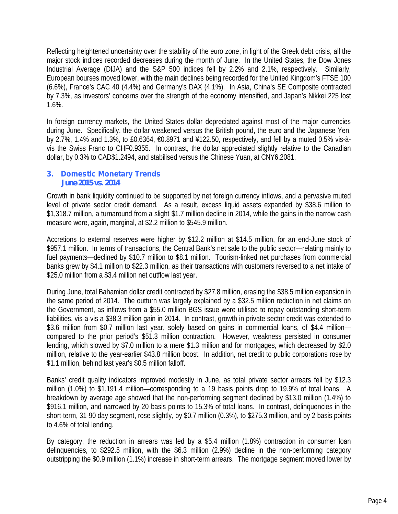Reflecting heightened uncertainty over the stability of the euro zone, in light of the Greek debt crisis, all the major stock indices recorded decreases during the month of June. In the United States, the Dow Jones Industrial Average (DIJA) and the S&P 500 indices fell by 2.2% and 2.1%, respectively. Similarly, European bourses moved lower, with the main declines being recorded for the United Kingdom's FTSE 100 (6.6%), France's CAC 40 (4.4%) and Germany's DAX (4.1%). In Asia, China's SE Composite contracted by 7.3%, as investors' concerns over the strength of the economy intensified, and Japan's Nikkei 225 lost 1.6%.

In foreign currency markets, the United States dollar depreciated against most of the major currencies during June. Specifically, the dollar weakened versus the British pound, the euro and the Japanese Yen, by 2.7%, 1.4% and 1.3%, to £0.6364, €0.8971 and ¥122.50, respectively, and fell by a muted 0.5% vis-à vis the Swiss Franc to CHF0.9355. In contrast, the dollar appreciated slightly relative to the Canadian dollar, by 0.3% to CAD\$1.2494, and stabilised versus the Chinese Yuan, at CNY6.2081.

#### *3. Domestic Monetary Trends June 2015 vs. 2014*

Growth in bank liquidity continued to be supported by net foreign currency inflows, and a pervasive muted level of private sector credit demand. As a result, excess liquid assets expanded by \$38.6 million to \$1,318.7 million, a turnaround from a slight \$1.7 million decline in 2014, while the gains in the narrow cash measure were, again, marginal, at \$2.2 million to \$545.9 million.

Accretions to external reserves were higher by \$12.2 million at \$14.5 million, for an end-June stock of \$957.1 million. In terms of transactions, the Central Bank's net sale to the public sector—relating mainly to fuel payments—declined by \$10.7 million to \$8.1 million. Tourism-linked net purchases from commercial banks grew by \$4.1 million to \$22.3 million, as their transactions with customers reversed to a net intake of \$25.0 million from a \$3.4 million net outflow last year.

During June, total Bahamian dollar credit contracted by \$27.8 million, erasing the \$38.5 million expansion in the same period of 2014. The outturn was largely explained by a \$32.5 million reduction in net claims on the Government, as inflows from a \$55.0 million BGS issue were utilised to repay outstanding short-term liabilities, vis-a-vis a \$38.3 million gain in 2014. In contrast, growth in private sector credit was extended to \$3.6 million from \$0.7 million last year, solely based on gains in commercial loans, of \$4.4 millioncompared to the prior period's \$51.3 million contraction. However, weakness persisted in consumer lending, which slowed by \$7.0 million to a mere \$1.3 million and for mortgages, which decreased by \$2.0 million, relative to the year-earlier \$43.8 million boost. In addition, net credit to public corporations rose by \$1.1 million, behind last year's \$0.5 million falloff.

Banks' credit quality indicators improved modestly in June, as total private sector arrears fell by \$12.3 million (1.0%) to \$1,191.4 million—corresponding to a 19 basis points drop to 19.9% of total loans. A breakdown by average age showed that the non-performing segment declined by \$13.0 million (1.4%) to \$916.1 million, and narrowed by 20 basis points to 15.3% of total loans. In contrast, delinquencies in the short-term, 31-90 day segment, rose slightly, by \$0.7 million (0.3%), to \$275.3 million, and by 2 basis points to 4.6% of total lending.

By category, the reduction in arrears was led by a \$5.4 million (1.8%) contraction in consumer loan delinquencies, to \$292.5 million, with the \$6.3 million (2.9%) decline in the non-performing category outstripping the \$0.9 million (1.1%) increase in short-term arrears. The mortgage segment moved lower by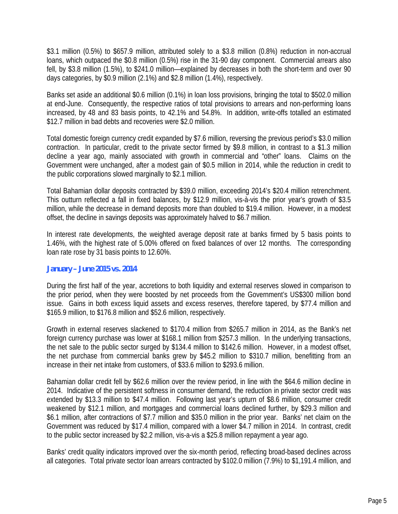\$3.1 million (0.5%) to \$657.9 million, attributed solely to a \$3.8 million (0.8%) reduction in non-accrual loans, which outpaced the \$0.8 million (0.5%) rise in the 31-90 day component. Commercial arrears also fell, by \$3.8 million (1.5%), to \$241.0 million—explained by decreases in both the short-term and over 90 days categories, by \$0.9 million (2.1%) and \$2.8 million (1.4%), respectively.

Banks set aside an additional \$0.6 million (0.1%) in loan loss provisions, bringing the total to \$502.0 million at end-June. Consequently, the respective ratios of total provisions to arrears and non-performing loans increased, by 48 and 83 basis points, to 42.1% and 54.8%. In addition, write-offs totalled an estimated \$12.7 million in bad debts and recoveries were \$2.0 million.

Total domestic foreign currency credit expanded by \$7.6 million, reversing the previous period's \$3.0 million contraction. In particular, credit to the private sector firmed by \$9.8 million, in contrast to a \$1.3 million decline a year ago, mainly associated with growth in commercial and "other" loans. Claims on the Government were unchanged, after a modest gain of \$0.5 million in 2014, while the reduction in credit to the public corporations slowed marginally to \$2.1 million.

Total Bahamian dollar deposits contracted by \$39.0 million, exceeding 2014's \$20.4 million retrenchment. This outturn reflected a fall in fixed balances, by \$12.9 million, vis-à-vis the prior year's growth of \$3.5 million, while the decrease in demand deposits more than doubled to \$19.4 million. However, in a modest offset, the decline in savings deposits was approximately halved to \$6.7 million.

In interest rate developments, the weighted average deposit rate at banks firmed by 5 basis points to 1.46%, with the highest rate of 5.00% offered on fixed balances of over 12 months. The corresponding loan rate rose by 31 basis points to 12.60%.

#### *January – June 2015 vs. 2014*

During the first half of the year, accretions to both liquidity and external reserves slowed in comparison to the prior period, when they were boosted by net proceeds from the Government's US\$300 million bond issue. Gains in both excess liquid assets and excess reserves, therefore tapered, by \$77.4 million and \$165.9 million, to \$176.8 million and \$52.6 million, respectively.

Growth in external reserves slackened to \$170.4 million from \$265.7 million in 2014, as the Bank's net foreign currency purchase was lower at \$168.1 million from \$257.3 million. In the underlying transactions, the net sale to the public sector surged by \$134.4 million to \$142.6 million. However, in a modest offset, the net purchase from commercial banks grew by \$45.2 million to \$310.7 million, benefitting from an increase in their net intake from customers, of \$33.6 million to \$293.6 million.

Bahamian dollar credit fell by \$62.6 million over the review period, in line with the \$64.6 million decline in 2014. Indicative of the persistent softness in consumer demand, the reduction in private sector credit was extended by \$13.3 million to \$47.4 million. Following last year's upturn of \$8.6 million, consumer credit weakened by \$12.1 million, and mortgages and commercial loans declined further, by \$29.3 million and \$6.1 million, after contractions of \$7.7 million and \$35.0 million in the prior year. Banks' net claim on the Government was reduced by \$17.4 million, compared with a lower \$4.7 million in 2014. In contrast, credit to the public sector increased by \$2.2 million, vis-a-vis a \$25.8 million repayment a year ago.

Banks' credit quality indicators improved over the six-month period, reflecting broad-based declines across all categories. Total private sector loan arrears contracted by \$102.0 million (7.9%) to \$1,191.4 million, and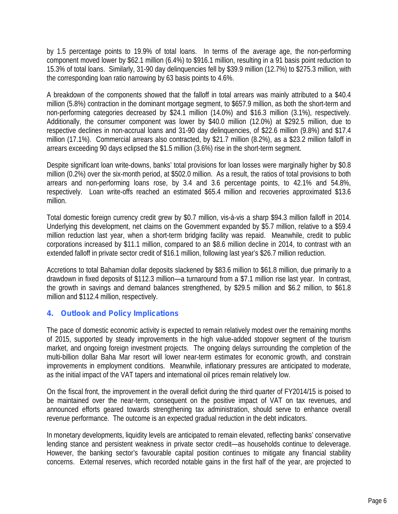by 1.5 percentage points to 19.9% of total loans. In terms of the average age, the non-performing component moved lower by \$62.1 million (6.4%) to \$916.1 million, resulting in a 91 basis point reduction to 15.3% of total loans. Similarly, 31-90 day delinquencies fell by \$39.9 million (12.7%) to \$275.3 million, with the corresponding loan ratio narrowing by 63 basis points to 4.6%.

A breakdown of the components showed that the falloff in total arrears was mainly attributed to a \$40.4 million (5.8%) contraction in the dominant mortgage segment, to \$657.9 million, as both the short-term and non-performing categories decreased by \$24.1 million (14.0%) and \$16.3 million (3.1%), respectively. Additionally, the consumer component was lower by \$40.0 million (12.0%) at \$292.5 million, due to respective declines in non-accrual loans and 31-90 day delinquencies, of \$22.6 million (9.8%) and \$17.4 million (17.1%). Commercial arrears also contracted, by \$21.7 million (8.2%), as a \$23.2 million falloff in arrears exceeding 90 days eclipsed the \$1.5 million (3.6%) rise in the short-term segment.

Despite significant loan write-downs, banks' total provisions for loan losses were marginally higher by \$0.8 million (0.2%) over the six-month period, at \$502.0 million. As a result, the ratios of total provisions to both arrears and non-performing loans rose, by 3.4 and 3.6 percentage points, to 42.1% and 54.8%, respectively. Loan write-offs reached an estimated \$65.4 million and recoveries approximated \$13.6 million.

Total domestic foreign currency credit grew by \$0.7 million, vis-à-vis a sharp \$94.3 million falloff in 2014. Underlying this development, net claims on the Government expanded by \$5.7 million, relative to a \$59.4 million reduction last year, when a short-term bridging facility was repaid. Meanwhile, credit to public corporations increased by \$11.1 million, compared to an \$8.6 million decline in 2014, to contrast with an extended falloff in private sector credit of \$16.1 million, following last year's \$26.7 million reduction.

Accretions to total Bahamian dollar deposits slackened by \$83.6 million to \$61.8 million, due primarily to a drawdown in fixed deposits of \$112.3 million—a turnaround from a \$7.1 million rise last year. In contrast, the growth in savings and demand balances strengthened, by \$29.5 million and \$6.2 million, to \$61.8 million and \$112.4 million, respectively.

#### *4. Outlook and Policy Implications*

The pace of domestic economic activity is expected to remain relatively modest over the remaining months of 2015, supported by steady improvements in the high value-added stopover segment of the tourism market, and ongoing foreign investment projects. The ongoing delays surrounding the completion of the multi-billion dollar Baha Mar resort will lower near-term estimates for economic growth, and constrain improvements in employment conditions. Meanwhile, inflationary pressures are anticipated to moderate, as the initial impact of the VAT tapers and international oil prices remain relatively low.

On the fiscal front, the improvement in the overall deficit during the third quarter of FY2014/15 is poised to be maintained over the near-term, consequent on the positive impact of VAT on tax revenues, and announced efforts geared towards strengthening tax administration, should serve to enhance overall revenue performance. The outcome is an expected gradual reduction in the debt indicators.

In monetary developments, liquidity levels are anticipated to remain elevated, reflecting banks' conservative lending stance and persistent weakness in private sector credit—as households continue to deleverage. However, the banking sector's favourable capital position continues to mitigate any financial stability concerns. External reserves, which recorded notable gains in the first half of the year, are projected to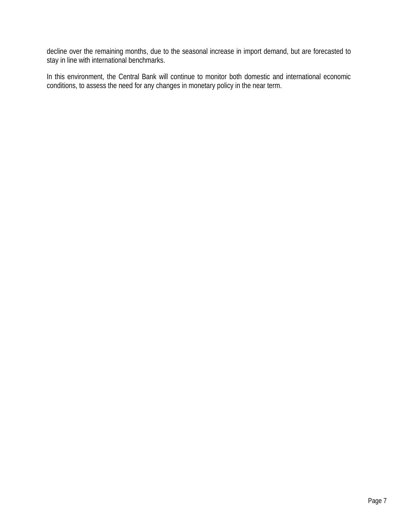decline over the remaining months, due to the seasonal increase in import demand, but are forecasted to stay in line with international benchmarks.

In this environment, the Central Bank will continue to monitor both domestic and international economic conditions, to assess the need for any changes in monetary policy in the near term.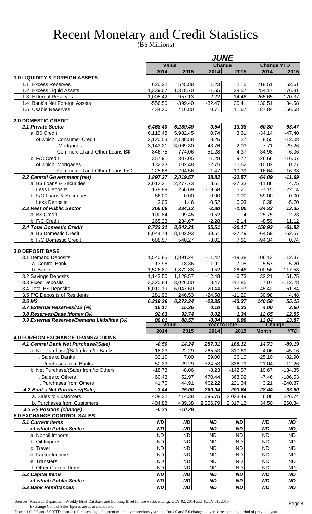# Recent Monetary and Credit Statistics

(B\$ Millions)

|                                                                            |                        |                        |                        | <b>JUNE</b>            |                        |                        |
|----------------------------------------------------------------------------|------------------------|------------------------|------------------------|------------------------|------------------------|------------------------|
|                                                                            |                        | <b>Value</b>           |                        | Change                 |                        | <b>Change YTD</b>      |
|                                                                            | 2014                   | 2015                   | 2014                   | 2015                   | 2014                   | 2015                   |
| <b>1.0 LIQUIDITY &amp; FOREIGN ASSETS</b>                                  | 620.22                 | 545.88                 | 1.23                   |                        | 218.51                 |                        |
| 1.1 Excess Reserves<br>1.2 Excess Liquid Assets                            | 1,339.07               | 1,318.70               | $-1.65$                | 2.15<br>38.57          | 254.17                 | 52.61<br>176.81        |
| 1.3 External Reserves                                                      | 1,005.42               | 957.13                 | 2.22                   | 14.46                  | 265.65                 | 170.37                 |
| 1.4 Bank's Net Foreign Assets                                              | $-556.50$              | $-399.40$              | $-32.47$               | 20.41                  | 130.51                 | 34.58                  |
| 1.5 Usable Reserves                                                        | 434.20                 | 416.80                 | 0.71                   | 11.67                  | 187.84                 | 156.68                 |
|                                                                            |                        |                        |                        |                        |                        |                        |
| <b>2.0 DOMESTIC CREDIT</b><br>2.1 Private Sector                           |                        | 6,289.49               | $-0.54$                | 13.38                  | $-60.80$               | $-63.47$               |
| a. B\$ Credit                                                              | 6,468.40<br>6,110.48   | 5,982.45               | 0.74                   | 3.61                   | $-34.14$               | $-47.40$               |
| of which: Consumer Credit                                                  | 2,120.53               | 2,138.58               | 8.26                   | 1.27                   | 8.55                   | $-12.08$               |
| Mortgages                                                                  | 3,143.21               | 3,069.80               | 43.76                  | $-2.03$                | $-7.71$                | $-29.26$               |
| Commercial and Other Loans B\$                                             | 846.75                 | 774.06                 | $-51.28$               | 4.37                   | $-34.98$               | $-6.06$                |
| b. F/C Credit                                                              | 357.91                 | 307.05                 | $-1.28$                | 9.77                   | $-26.66$               | $-16.07$               |
| of which: Mortgages                                                        | 132.23                 | 102.48                 | $-2.75$                | $-0.62$                | $-10.02$               | 0.27                   |
| Commercial and Other Loans F/C                                             | 225.68                 | 204.56                 | 1.47                   | 10.39                  | $-16.64$               | $-16.33$               |
| 2.2 Central Government (net)                                               | 1,897.37               | 2,019.57               | 38.82                  | $-32.57$               | $-64.09$               | $-11.69$               |
| a. B\$ Loans & Securities                                                  | 2,012.31               | 2,277.73               | 18.61                  | $-27.33$               | $-11.86$               | 4.75                   |
| Less Deposits                                                              | 178.89                 | 256.69                 | $-19.68$               | 5.21                   | $-7.15$                | 22.14                  |
| b. F/C Loans & Securities                                                  | 66.00<br>2.05          | 0.00<br>1.46           | 0.00<br>$-0.52$        | 0.00<br>0.03           | $-59.00$<br>0.38       | 0.00<br>$-5.70$        |
| Less Deposits<br>2.3 Rest of Public Sector                                 | 366.06                 | 334.12                 | $-2.80$                | $-1.00$                | $-34.33$               | 13.35                  |
| a. B\$ Credit                                                              | 100.84                 | 99.45                  | $-0.52$                | 1.14                   | $-25.75$               | 2.23                   |
| b. F/C Credit                                                              | 265.23                 | 234.67                 | $-2.28$                | $-2.14$                | $-8.59$                | 11.12                  |
| 2.4 Total Domestic Credit                                                  | 8,733.31               | 8,643.21               | 35.51                  | $-20.17$               | $-158.93$              | $-61.83$               |
| a. B\$ Domestic Credit                                                     | 8,044.74               | 8,102.93               | 38.51                  | $-27.79$               | $-64.59$               | $-62.57$               |
| b. F/C Domestic Credit                                                     | 688.57                 | 540.27                 | $-3.01$                | 7.61                   | $-94.34$               | 0.74                   |
|                                                                            |                        |                        |                        |                        |                        |                        |
| <b>3.0 DEPOSIT BASE</b><br>3.1 Demand Deposits                             | 1,540.85               | 1,891.24               | $-11.42$               | $-19.38$               | 106.13                 | 112.37                 |
| a. Central Bank                                                            | 13.98                  | 18.36                  | $-1.91$                | 7.08                   | 5.57                   | $-5.20$                |
| b. Banks                                                                   | 1,526.87               | 1,872.88               | $-9.52$                | $-26.46$               | 100.56                 | 117.58                 |
| 3.2 Savings Deposits                                                       | 1,143.50               | 1,129.57               | $-12.48$               | $-6.73$                | 32.21                  | 61.75                  |
| 3.3 Fixed Deposits                                                         | 3,325.84               | 3,026.80               | 3.47                   | $-12.85$               | 7.07                   | -112.28                |
| 3.4 Total B\$ Deposits                                                     | 6,010.19               | 6,047.60               | $-20.44$               | $-38.97$               | 145.42                 | 61.84                  |
| 3.5 F/C Deposits of Residents                                              | 281.96                 | 246.53                 | $-24.58$               | $-11.29$               | 30.98                  | 4.48                   |
| 3.6 M <sub>2</sub>                                                         | 6,218.26               | 6,272.34               | $-23.35$               | $-43.37$               | 140.58                 | 55.15                  |
| 3.7 External Reserves/M2 (%)                                               | 16.17                  | 15.26                  | 0.10                   | 0.33                   | 4.00                   | 2.60                   |
| 3.8 Reserves/Base Money (%)<br>3.9 External Reserves/Demand Liabilites (%) | 92.63<br>88.01         | 92.74<br>88.57         | 0.02<br>$-0.04$        | 1.34<br>0.88           | 12.65<br>13.04         | 12.55<br>13.87         |
|                                                                            |                        | <b>Value</b>           |                        | <b>Year to Date</b>    |                        | <b>Change</b>          |
|                                                                            | 2014                   | 2015                   | 2014                   | 2015                   | <b>Month</b>           | <b>YTD</b>             |
| <b>4.0 FOREIGN EXCHANGE TRANSACTIONS</b>                                   |                        |                        |                        |                        |                        |                        |
| 4.1 Central Bank Net Purchase/(Sale)                                       | $-0.50$<br>18.23       | 14.24<br>22.29         | 257.31<br>265.53       | 168.12<br>310.69       | 14.73<br>4.06          | $-89.19$<br>45.16      |
| a. Net Purchase/(Sale) from/to Banks<br>i. Sales to Banks                  | 32.10                  | 7.00                   | 59.00                  | 26.10                  | $-25.10$               | $-32.90$               |
| ii. Purchases from Banks                                                   | 50.33                  | 29.29                  | 324.53                 | 336.79                 | $-21.04$               | 12.26                  |
| b. Net Purchase/(Sale) from/to Others                                      | $-18.73$               | $-8.06$                | $-8.23$                | $-142.57$              | 10.67                  | $-134.35$              |
| i. Sales to Others                                                         | 60.43                  | 52.97                  | 470.44                 | 363.92                 | $-7.46$                | $-106.53$              |
| ii. Purchases from Others                                                  | 41.70                  | 44.91                  | 462.22                 | 221.34                 | 3.21                   | $-240.87$              |
| 4.2 Banks Net Purchase/(Sale)                                              | $-3.44$                | 25.00                  | 260.04                 | 293.64                 | 28.44                  | 33.60                  |
| a. Sales to Customers                                                      | 408.32                 | 414.38                 | 1,796.75               | 2,023.49               | 6.06                   | 226.74                 |
| b. Purchases from Customers                                                | 404.88                 | 439.38                 | 2,056.79               | 2,317.13               | 34.50                  | 260.34                 |
| 4.3 B\$ Position (change)                                                  | $-0.33$                | $-10.28$               |                        |                        |                        |                        |
| <b>5.0 EXCHANGE CONTROL SALES</b>                                          |                        |                        |                        |                        |                        |                        |
| <b>5.1 Current Items</b>                                                   | <b>ND</b>              | <b>ND</b>              | <b>ND</b>              | <b>ND</b>              | <b>ND</b>              | <b>ND</b>              |
| of which Public Sector                                                     | <b>ND</b>              | <b>ND</b>              | <b>ND</b>              | <b>ND</b>              | <b>ND</b>              | <b>ND</b>              |
| a. Nonoil Imports                                                          | <b>ND</b>              | <b>ND</b>              | <b>ND</b>              | <b>ND</b>              | <b>ND</b>              | <b>ND</b>              |
| b. Oil Imports                                                             | <b>ND</b>              | <b>ND</b>              | <b>ND</b>              | <b>ND</b>              | <b>ND</b>              | <b>ND</b>              |
| c. Travel                                                                  | <b>ND</b>              | <b>ND</b>              | <b>ND</b>              | <b>ND</b>              | <b>ND</b>              | <b>ND</b>              |
| d. Factor Income<br>e. Transfers                                           | <b>ND</b>              | <b>ND</b>              | <b>ND</b>              | <b>ND</b>              | <b>ND</b>              | <b>ND</b>              |
| f. Other Current Items                                                     | <b>ND</b><br><b>ND</b> | <b>ND</b><br><b>ND</b> | <b>ND</b><br><b>ND</b> | <b>ND</b><br><b>ND</b> | <b>ND</b><br><b>ND</b> | <b>ND</b><br><b>ND</b> |
| 5.2 Capital Items                                                          | <b>ND</b>              | <b>ND</b>              | <b>ND</b>              | <b>ND</b>              | <b>ND</b>              | <b>ND</b>              |
| of which Public Sector                                                     | <b>ND</b>              | <b>ND</b>              | <b>ND</b>              | <b>ND</b>              | <b>ND</b>              | <b>ND</b>              |
| <b>5.3 Bank Remittances</b>                                                | <b>ND</b>              | <b>ND</b>              | <b>ND</b>              | <b>ND</b>              | <b>ND</b>              | <b>ND</b>              |

 Sources: Research Department Weekly Brief Database and Banking Brief for the weeks ending:JULY 02, 2014 and JULY 01, 2015 Exchange Control Sales figures are as at month end.

Notes: 1.0, 2.0 and 3.0 YTD change reflects change of current month over previous year end; for 4.0 and 5.0 change is over corresponding period of previous year.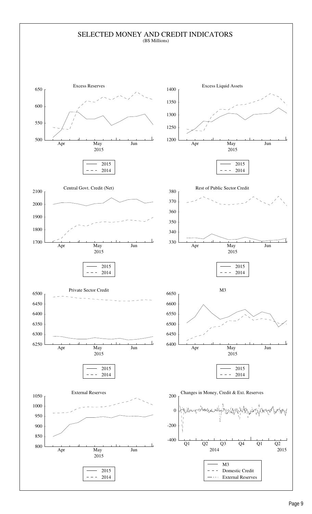#### SELECTED MONEY AND CREDIT INDICATORS (B\$ Millions)

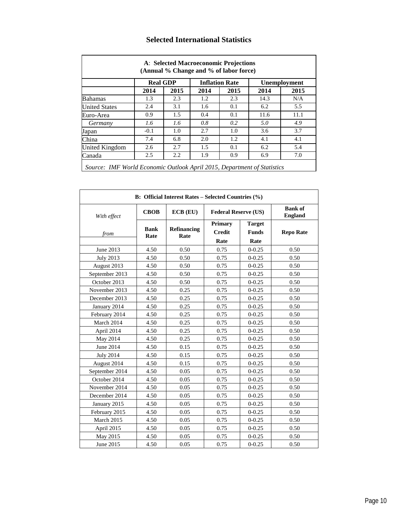|                      | <b>Real GDP</b> |      |      | <b>Inflation Rate</b> |      | <b>Unemployment</b> |
|----------------------|-----------------|------|------|-----------------------|------|---------------------|
|                      | 2014            | 2015 | 2014 | 2015                  | 2014 | 2015                |
| Bahamas              | 1.3             | 2.3  | 1.2  | 2.3                   | 14.3 | N/A                 |
| <b>United States</b> | 2.4             | 3.1  | 1.6  | 0.1                   | 6.2  | 5.5                 |
| Euro-Area            | 0.9             | 1.5  | 0.4  | 0.1                   | 11.6 | 11.1                |
| Germany              | 1.6             | 1.6  | 0.8  | 0.2                   | 5.0  | 4.9                 |
| Japan                | $-0.1$          | 1.0  | 2.7  | 1.0                   | 3.6  | 3.7                 |
| China                | 7.4             | 6.8  | 2.0  | 1.2                   | 4.1  | 4.1                 |
| United Kingdom       | 2.6             | 2.7  | 1.5  | 0.1                   | 6.2  | 5.4                 |
| Canada               | 2.5             | 2.2  | 1.9  | 0.9                   | 6.9  | 7.0                 |

<u> 1980 - Johann Stoff, deutscher Stoffen und der Stoffen und der Stoffen und der Stoffen und der Stoffen und de</u>

#### **Selected International Statistics**

|                  |                     | B: Official Interest Rates - Selected Countries (%) |                                  |                                       |                                  |
|------------------|---------------------|-----------------------------------------------------|----------------------------------|---------------------------------------|----------------------------------|
| With effect      | <b>CBOB</b>         | ECB (EU)                                            | <b>Federal Reserve (US)</b>      |                                       | <b>Bank of</b><br><b>England</b> |
| from             | <b>Bank</b><br>Rate | Refinancing<br>Rate                                 | Primary<br><b>Credit</b><br>Rate | <b>Target</b><br><b>Funds</b><br>Rate | <b>Repo Rate</b>                 |
| June 2013        | 4.50                | 0.50                                                | 0.75                             | $0 - 0.25$                            | 0.50                             |
| <b>July 2013</b> | 4.50                | 0.50                                                | 0.75                             | $0 - 0.25$                            | 0.50                             |
| August 2013      | 4.50                | 0.50                                                | 0.75                             | $0 - 0.25$                            | 0.50                             |
| September 2013   | 4.50                | 0.50                                                | 0.75                             | $0 - 0.25$                            | 0.50                             |
| October 2013     | 4.50                | 0.50                                                | 0.75                             | $0 - 0.25$                            | 0.50                             |
| November 2013    | 4.50                | 0.25                                                | 0.75                             | $0 - 0.25$                            | 0.50                             |
| December 2013    | 4.50                | 0.25                                                | 0.75                             | $0 - 0.25$                            | 0.50                             |
| January 2014     | 4.50                | 0.25                                                | 0.75                             | $0 - 0.25$                            | 0.50                             |
| February 2014    | 4.50                | 0.25                                                | 0.75                             | $0 - 0.25$                            | 0.50                             |
| March 2014       | 4.50                | 0.25                                                | 0.75                             | $0 - 0.25$                            | 0.50                             |
| April 2014       | 4.50                | 0.25                                                | 0.75                             | $0 - 0.25$                            | 0.50                             |
| May 2014         | 4.50                | 0.25                                                | 0.75                             | $0 - 0.25$                            | 0.50                             |
| June 2014        | 4.50                | 0.15                                                | 0.75                             | $0 - 0.25$                            | 0.50                             |
| <b>July 2014</b> | 4.50                | 0.15                                                | 0.75                             | $0 - 0.25$                            | 0.50                             |
| August 2014      | 4.50                | 0.15                                                | 0.75                             | $0 - 0.25$                            | 0.50                             |
| September 2014   | 4.50                | 0.05                                                | 0.75                             | $0 - 0.25$                            | 0.50                             |
| October 2014     | 4.50                | 0.05                                                | 0.75                             | $0 - 0.25$                            | 0.50                             |
| November 2014    | 4.50                | 0.05                                                | 0.75                             | $0 - 0.25$                            | 0.50                             |
| December 2014    | 4.50                | 0.05                                                | 0.75                             | $0 - 0.25$                            | 0.50                             |
| January 2015     | 4.50                | 0.05                                                | 0.75                             | $0 - 0.25$                            | 0.50                             |
| February 2015    | 4.50                | 0.05                                                | 0.75                             | $0 - 0.25$                            | 0.50                             |
| March 2015       | 4.50                | 0.05                                                | 0.75                             | $0 - 0.25$                            | 0.50                             |
| April 2015       | 4.50                | 0.05                                                | 0.75                             | $0 - 0.25$                            | 0.50                             |
| May 2015         | 4.50                | 0.05                                                | 0.75                             | $0 - 0.25$                            | 0.50                             |
| June 2015        | 4.50                | 0.05                                                | 0.75                             | $0 - 0.25$                            | 0.50                             |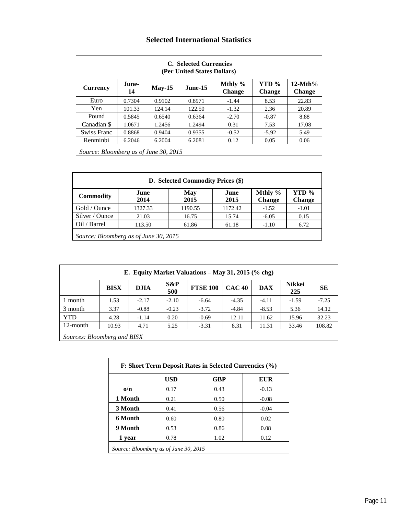#### **Selected International Statistics**

|                                       |             |          | C. Selected Currencies<br>(Per United States Dollars) |                          |                        |                            |
|---------------------------------------|-------------|----------|-------------------------------------------------------|--------------------------|------------------------|----------------------------|
| Currency                              | June-<br>14 | $May-15$ | June-15                                               | Mthly %<br><b>Change</b> | YTD %<br><b>Change</b> | $12-Mth%$<br><b>Change</b> |
| Euro                                  | 0.7304      | 0.9102   | 0.8971                                                | $-1.44$                  | 8.53                   | 22.83                      |
| Yen                                   | 101.33      | 124.14   | 122.50                                                | $-1.32$                  | 2.36                   | 20.89                      |
| Pound                                 | 0.5845      | 0.6540   | 0.6364                                                | $-2.70$                  | $-0.87$                | 8.88                       |
| Canadian \$                           | 1.0671      | 1.2456   | 1.2494                                                | 0.31                     | 7.53                   | 17.08                      |
| Swiss Franc                           | 0.8868      | 0.9404   | 0.9355                                                | $-0.52$                  | $-5.92$                | 5.49                       |
| Renminbi                              | 6.2046      | 6.2004   | 6.2081                                                | 0.12                     | 0.05                   | 0.06                       |
| Source: Bloomberg as of June 30, 2015 |             |          |                                                       |                          |                        |                            |

|                  |                                       | D. Selected Commodity Prices (\$) |              |                          |                        |
|------------------|---------------------------------------|-----------------------------------|--------------|--------------------------|------------------------|
| <b>Commodity</b> | June<br>2014                          | May<br>2015                       | June<br>2015 | Mthly %<br><b>Change</b> | YTD %<br><b>Change</b> |
| Gold / Ounce     | 1327.33                               | 1190.55                           | 1172.42      | $-1.52$                  | $-1.01$                |
| Silver / Ounce   | 21.03                                 | 16.75                             | 15.74        | $-6.05$                  | 0.15                   |
| Oil / Barrel     | 113.50                                | 61.86                             | 61.18        | $-1.10$                  | 6.72                   |
|                  | Source: Bloomberg as of June 30, 2015 |                                   |              |                          |                        |

|                             |             |             |               | E. Equity Market Valuations – May 31, 2015 $(\%$ chg) |               |            |                      |           |
|-----------------------------|-------------|-------------|---------------|-------------------------------------------------------|---------------|------------|----------------------|-----------|
|                             | <b>BISX</b> | <b>DJIA</b> | $S\&P$<br>500 | <b>FTSE 100</b>                                       | <b>CAC 40</b> | <b>DAX</b> | <b>Nikkei</b><br>225 | <b>SE</b> |
| month                       | 1.53        | $-2.17$     | $-2.10$       | $-6.64$                                               | $-4.35$       | $-4.11$    | $-1.59$              | $-7.25$   |
| 3 month                     | 3.37        | $-0.88$     | $-0.23$       | $-3.72$                                               | $-4.84$       | $-8.53$    | 5.36                 | 14.12     |
| <b>YTD</b>                  | 4.28        | $-1.14$     | 0.20          | $-0.69$                                               | 12.11         | 11.62      | 15.96                | 32.23     |
| 12-month                    | 10.93       | 4.71        | 5.25          | $-3.31$                                               | 8.31          | 11.31      | 33.46                | 108.82    |
| Sources: Bloomberg and BISX |             |             |               |                                                       |               |            |                      |           |

|            |                                       | F: Short Term Deposit Rates in Selected Currencies (%) |            |
|------------|---------------------------------------|--------------------------------------------------------|------------|
|            | <b>USD</b>                            | <b>GBP</b>                                             | <b>EUR</b> |
| $\omega/n$ | 0.17                                  | 0.43                                                   | $-0.13$    |
| 1 Month    | 0.21                                  | 0.50                                                   | $-0.08$    |
| 3 Month    | 0.41                                  | 0.56                                                   | $-0.04$    |
| 6 Month    | 0.60                                  | 0.80                                                   | 0.02       |
| 9 Month    | 0.53                                  | 0.86                                                   | 0.08       |
| 1 year     | 0.78                                  | 1.02                                                   | 0.12       |
|            | Source: Bloomberg as of June 30, 2015 |                                                        |            |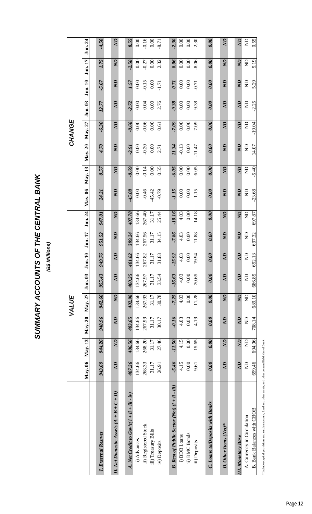SUMMARY ACCOUNTS OF THE CENTRAL BANK **SUMMARY ACCOUNTS OF THE CENTRAL BANK**

(B\$ Millions) **(B\$ Millions)**

|                                                        |                     |                |                   | VALUE          |                |                        |                |                |                |              |                | CHANGE         |              |                |                |              |
|--------------------------------------------------------|---------------------|----------------|-------------------|----------------|----------------|------------------------|----------------|----------------|----------------|--------------|----------------|----------------|--------------|----------------|----------------|--------------|
|                                                        | $\mathbf{May.}\,06$ | May. 13        | $\text{May. } 20$ | May. 27        | Jun. 03        | Jun. 10                | Jun. 17        | Jun. 24        | May. 06        | May. 13      | May. 20        | May. 27        | Jun. 03      | Jun. 10        | Jun. 17        | Jun. 24      |
|                                                        |                     |                |                   |                |                |                        |                |                |                |              |                |                |              |                |                |              |
| I. External Resrves                                    | 943.69              | 944.26         | 948.96            | 942.66         | 955.43         | 949.76                 | 951.52         | 947.01         | 24.21          | 0.57         | 4.70           | $-6.30$        | 12.77        | $-5.67$        | 1.75           | $-4.50$      |
| II. Net Domestic Assets $(A + B + C + D)$              | $\overline{a}$      | $\overline{a}$ | <b>Q</b>          | Q <sub>N</sub> | <b>C</b> N     | $\mathbb{Z}$           | $\mathbb{Z}$   | $\mathbb{Z}$   | $\mathbb{Z}$   | $\mathbb{Z}$ | $\overline{a}$ | $\mathbb{Z}$   | $\mathbb{Z}$ | $\overline{a}$ | $\overline{a}$ | <b>Q</b>     |
| A. Net Credit to Gov't( $i + ii + iii - iv$ )          | 407.26              | 406.56         | 403.65            | 402.98         | 400.25         | 401.82                 | 399.24         | 407.78         | $-45.08$       | $-0.69$      | $-2.91$        | $-0.68$        | $-2.72$      | 1.57           | $-2.58$        | 8.55         |
| i) Advances                                            | 134.66              | 134.66         | 134.66            | 134.66         | 134.66         | 134.66                 | 134.66         | 134.66         | 0.00           | 0.00         | 0.00           | 0.00           | 0.00         | 0.00           | 0.00           | 0.00         |
| ii) Registered Stock                                   | 268.33              | 268.20         | 267.99            | 267.93         | 267.97         | 267.82                 | 267.56         | 267.40         | $-0.46$        | $-0.14$      | $-0.20$        | $-0.06$        | 0.04         | $-0.15$        | $-0.27$        | $-0.16$      |
| iii) Treasury Bills                                    | 31.17               | 31.17          | 31.17             | 31.17          | 31.17          | 31.17                  | 31.17          | 31.17          | $-45.42$       | 0.00         | $0.00\,$       | 0.00           | 0.00         | $0.00\,$       | 0.00           | 0.00         |
| iv) Deposits                                           | 26.91               | 27.46          | 30.17             | 30.78          | 33.54          | 31.83                  | 34.15          | 25.44          | $-0.79$        | 0.55         | 2.71           | 0.61           | 2.76         | $-1.71$        | 2.32           | $-8.71$      |
|                                                        |                     |                |                   |                |                |                        |                |                |                |              |                |                |              |                |                |              |
| <b>B.</b> Rest of Public Sector (Net) $(i + ii - iii)$ | $-5.46$             | -11.50         | $-0.16$           | $-7.25$        | $-16.63$       | 15.92<br>7             | $-7.86$        | $-10.16$       | -1.15          | $-6.05$      | 11.34          | 7.09           | 9.38         | 0.71           | 8.06           | $-2.30$      |
| i) BDB Loans                                           | 4.15                | 4.15           | 4.03              | 4.03           | 4.03           | 4.03                   | 4.03           | 4.03           | 0.00           | 0.00         | $-0.13$        | 0.00           | 0.00         | $0.00\,$       | 0.00           | 0.00         |
| ii) BMC Bonds                                          | 0.00                | 0.00           | 0.00              | 0.00           | 0.00           | 0.00                   | 0.00           | 0.00           | $0.00\,$       | $0.00\,$     | 0.00           | 0.00           | 0.00         | $0.00\,$       | $0.00\,$       | $0.00\,$     |
| iii) Deposits                                          | 9.61                | 15.65          | 4.19              | 11.28          | 20.65          | 9.94                   | 11.88          | 14.18          | 1.15           | 6.05         | $-11.47$       | 7.09           | 9.38         | $-0.71$        | 8.06           | 2.30         |
|                                                        |                     |                |                   |                |                |                        |                |                |                |              |                |                |              |                |                |              |
| <b>C. Loans to/Deposits with Banks</b>                 | 0.00                | 0.00           | 0.00              | 0.00           | 0.00           | 0.00                   | 0.00           | 0.00           | 0.00           | 0.00         | 0.00           | 0.00           | 0.00         | 0.00           | 0.00           | 0.00         |
|                                                        |                     |                |                   |                |                |                        |                |                |                |              |                |                |              |                |                |              |
| D. Other Items (Net)*                                  | Q <sub>N</sub>      | Q <sub>N</sub> | <b>Q</b>          | $\overline{a}$ | $\overline{Q}$ | Q <sub>N</sub>         | $\overline{a}$ | $\overline{a}$ | $\overline{a}$ | $\mathbb{Z}$ | $\overline{M}$ | $\overline{a}$ | $\mathbb{Z}$ | $\overline{a}$ | Ø              | $\mathbb{Z}$ |
|                                                        |                     |                |                   |                |                |                        |                |                |                |              |                |                |              |                |                |              |
| <b>III.</b> Monetary Base                              | $\overline{M}$      | $\mathbb{Z}$   | $\mathbb{R}$      | Ø              | Ø              | $\overline{a}$         | $\mathbb{Z}$   | $\overline{a}$ | $\overline{a}$ | <b>Z</b>     | $\overline{a}$ | $\mathbb{Z}$   | <b>C</b> N   | $\overline{a}$ | $\overline{M}$ | <b>Q</b>     |
| A. Currency in Circulation                             | $\Xi$               | g              | g                 | g              | g              | $\Xi$                  | $\beta$        | $\Xi$          | $\Xi$          | $\Xi$        | $\Xi$          | g              | £            | g              | g              | g            |
| B. Bank Balances with CBOB                             | 699.46              | 694.06         | 708.14            | 689.10         | 686.85         | 92.13<br>$\mathcal{S}$ | 697.32         | 697.87         | $-23.68$       | $-5.40$      | 14.07          | $-19.04$       | $-2.25$      | 5.29           | 5.19           | 0.55         |

\* Includes capital, provisions and surplus account, fixed and other assets, and other demand liabilities of Bank \* Includes capital, provisions and surplus account, fixed and other assets, and other demand liabilities of Bank